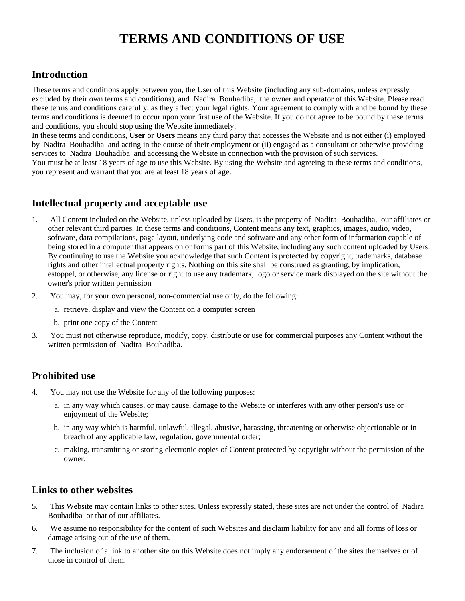# **TERMS AND CONDITIONS OF USE**

## **Introduction**

These terms and conditions apply between you, the User of this Website (including any sub-domains, unless expressly excluded by their own terms and conditions), and Nadira Bouhadiba, the owner and operator of this Website. Please read these terms and conditions carefully, as they affect your legal rights. Your agreement to comply with and be bound by these terms and conditions is deemed to occur upon your first use of the Website. If you do not agree to be bound by these terms and conditions, you should stop using the Website immediately.

In these terms and conditions, **User** or **Users** means any third party that accesses the Website and is not either (i) employed by Nadira Bouhadiba and acting in the course of their employment or (ii) engaged as a consultant or otherwise providing services to Nadira Bouhadiba and accessing the Website in connection with the provision of such services.

You must be at least 18 years of age to use this Website. By using the Website and agreeing to these terms and conditions, you represent and warrant that you are at least 18 years of age.

## **Intellectual property and acceptable use**

- 1. All Content included on the Website, unless uploaded by Users, is the property of Nadira Bouhadiba, our affiliates or other relevant third parties. In these terms and conditions, Content means any text, graphics, images, audio, video, software, data compilations, page layout, underlying code and software and any other form of information capable of being stored in a computer that appears on or forms part of this Website, including any such content uploaded by Users. By continuing to use the Website you acknowledge that such Content is protected by copyright, trademarks, database rights and other intellectual property rights. Nothing on this site shall be construed as granting, by implication, estoppel, or otherwise, any license or right to use any trademark, logo or service mark displayed on the site without the owner's prior written permission
- 2. You may, for your own personal, non-commercial use only, do the following:
	- a. retrieve, display and view the Content on a computer screen
	- b. print one copy of the Content
- 3. You must not otherwise reproduce, modify, copy, distribute or use for commercial purposes any Content without the written permission of Nadira Bouhadiba.

## **Prohibited use**

- 4. You may not use the Website for any of the following purposes:
	- a. in any way which causes, or may cause, damage to the Website or interferes with any other person's use or enjoyment of the Website;
	- b. in any way which is harmful, unlawful, illegal, abusive, harassing, threatening or otherwise objectionable or in breach of any applicable law, regulation, governmental order;
	- c. making, transmitting or storing electronic copies of Content protected by copyright without the permission of the owner.

## **Links to other websites**

- 5. This Website may contain links to other sites. Unless expressly stated, these sites are not under the control of Nadira Bouhadiba or that of our affiliates.
- 6. We assume no responsibility for the content of such Websites and disclaim liability for any and all forms of loss or damage arising out of the use of them.
- 7. The inclusion of a link to another site on this Website does not imply any endorsement of the sites themselves or of those in control of them.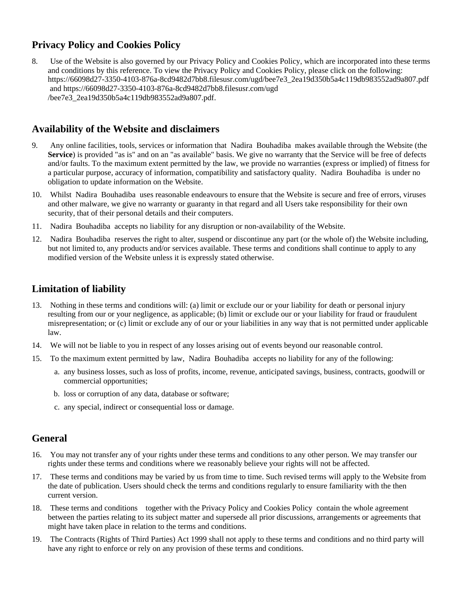# **Privacy Policy and Cookies Policy**

8. Use of the Website is also governed by our Privacy Policy and Cookies Policy, which are incorporated into these terms and conditions by this reference. To view the Privacy Policy and Cookies Policy, please click on the following: https://66098d27-3350-4103-876a-8cd9482d7bb8.filesusr.com/ugd/bee7e3\_2ea19d350b5a4c119db983552ad9a807.pdf and https://66098d27-3350-4103-876a-8cd9482d7bb8.filesusr.com/ugd /bee7e3\_2ea19d350b5a4c119db983552ad9a807.pdf.

# **Availability of the Website and disclaimers**

- 9. Any online facilities, tools, services or information that Nadira Bouhadiba makes available through the Website (the **Service**) is provided "as is" and on an "as available" basis. We give no warranty that the Service will be free of defects and/or faults. To the maximum extent permitted by the law, we provide no warranties (express or implied) of fitness for a particular purpose, accuracy of information, compatibility and satisfactory quality. Nadira Bouhadiba is under no obligation to update information on the Website.
- 10. Whilst Nadira Bouhadiba uses reasonable endeavours to ensure that the Website is secure and free of errors, viruses and other malware, we give no warranty or guaranty in that regard and all Users take responsibility for their own security, that of their personal details and their computers.
- 11. Nadira Bouhadiba accepts no liability for any disruption or non-availability of the Website.
- 12. Nadira Bouhadiba reserves the right to alter, suspend or discontinue any part (or the whole of) the Website including, but not limited to, any products and/or services available. These terms and conditions shall continue to apply to any modified version of the Website unless it is expressly stated otherwise.

## **Limitation of liability**

- 13. Nothing in these terms and conditions will: (a) limit or exclude our or your liability for death or personal injury resulting from our or your negligence, as applicable; (b) limit or exclude our or your liability for fraud or fraudulent misrepresentation; or (c) limit or exclude any of our or your liabilities in any way that is not permitted under applicable law.
- 14. We will not be liable to you in respect of any losses arising out of events beyond our reasonable control.
- 15. To the maximum extent permitted by law, Nadira Bouhadiba accepts no liability for any of the following:
	- a. any business losses, such as loss of profits, income, revenue, anticipated savings, business, contracts, goodwill or commercial opportunities;
	- b. loss or corruption of any data, database or software;
	- c. any special, indirect or consequential loss or damage.

## **General**

- 16. You may not transfer any of your rights under these terms and conditions to any other person. We may transfer our rights under these terms and conditions where we reasonably believe your rights will not be affected.
- 17. These terms and conditions may be varied by us from time to time. Such revised terms will apply to the Website from the date of publication. Users should check the terms and conditions regularly to ensure familiarity with the then current version.
- 18. These terms and conditions together with the Privacy Policy and Cookies Policy contain the whole agreement between the parties relating to its subject matter and supersede all prior discussions, arrangements or agreements that might have taken place in relation to the terms and conditions.
- 19. The Contracts (Rights of Third Parties) Act 1999 shall not apply to these terms and conditions and no third party will have any right to enforce or rely on any provision of these terms and conditions.